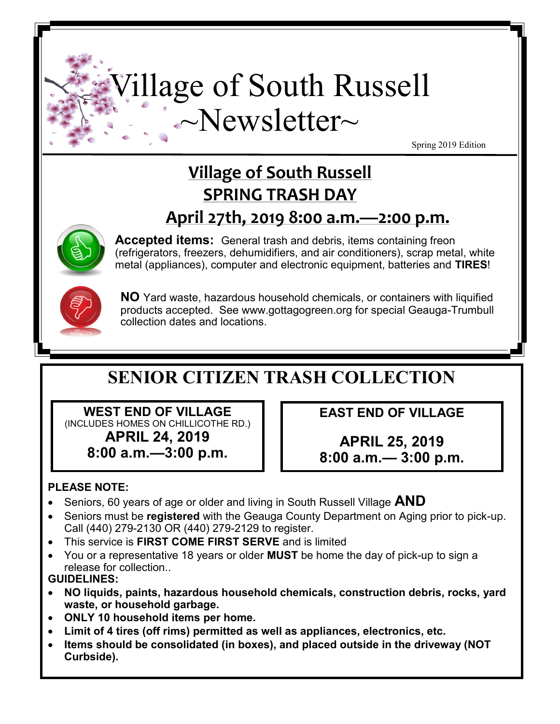# Village of South Russell ~Newsletter~

Spring 2019 Edition

# **Village of South Russell SPRING TRASH DAY April 27th, 2019 8:00 a.m.—2:00 p.m.**



**Accepted items:** General trash and debris, items containing freon (refrigerators, freezers, dehumidifiers, and air conditioners), scrap metal, white metal (appliances), computer and electronic equipment, batteries and **TIRES**!



**NO** Yard waste, hazardous household chemicals, or containers with liquified products accepted. See www.gottagogreen.org for special Geauga-Trumbull collection dates and locations.

# **SENIOR CITIZEN TRASH COLLECTION**

**WEST END OF VILLAGE** (INCLUDES HOMES ON CHILLICOTHE RD.) **APRIL 24, 2019 8:00 a.m.—3:00 p.m.**

**EAST END OF VILLAGE**

**APRIL 25, 2019 8:00 a.m.— 3:00 p.m.**

## **PLEASE NOTE:**

- • Seniors, 60 years of age or older and living in South Russell Village **AND**
- Seniors must be **registered** with the Geauga County Department on Aging prior to pick-up. Call (440) 279-2130 OR (440) 279-2129 to register.
- This service is **FIRST COME FIRST SERVE** and is limited
- You or a representative 18 years or older **MUST** be home the day of pick-up to sign a release for collection..

## **GUIDELINES:**

- **NO liquids, paints, hazardous household chemicals, construction debris, rocks, yard waste, or household garbage.**
- **ONLY 10 household items per home.**
- **Limit of 4 tires (off rims) permitted as well as appliances, electronics, etc.**
- **Items should be consolidated (in boxes), and placed outside in the driveway (NOT Curbside).**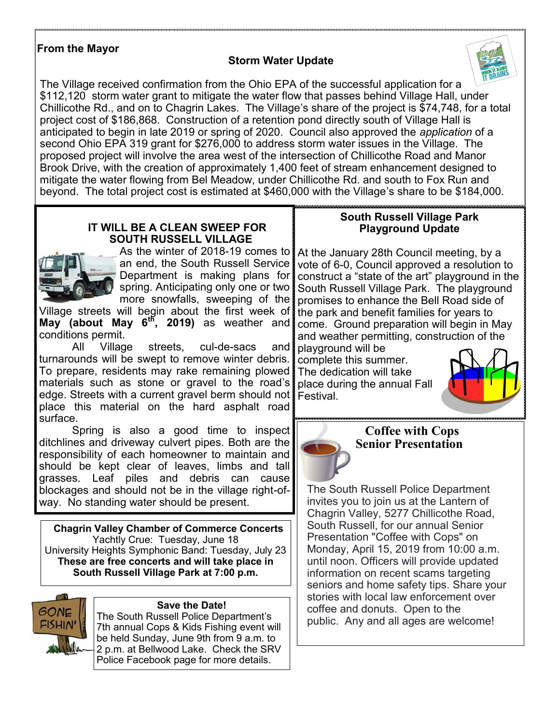#### **From the Mayor**

#### **Storm Water Update**



The Village received confirmation from the Ohio EPA of the successful application for a \$112,120 storm water grant to mitigate the water flow that passes behind Village Hall, under Chillicothe Rd., and on to Chagrin Lakes. The Village's share of the project is \$74,748, for a total project cost of \$186,868. Construction of a retention pond directly south of Village Hall is anticipated to begin in late 2019 or spring of 2020. Council also approved the *application* of a second Ohio EPA 319 grant for \$276,000 to address storm water issues in the Village. The proposed project will involve the area west of the intersection of Chillicothe Road and Manor Brook Drive, with the creation of approximately 1,400 feet of stream enhancement designed to mitigate the water flowing from Bel Meadow, under Chillicothe Rd. and south to Fox Run and beyond. The total project cost is estimated at \$460,000 with the Village's share to be \$184,000.

#### **IT WILL BE A CLEAN SWEEP FOR SOUTH RUSSELL VILLAGE**



an end, the South Russell Service Department is making plans for spring. Anticipating only one or two more snowfalls, sweeping of the

Village streets will begin about the first week of **May (about May 6th, 2019)** as weather and conditions permit.<br>All Village

All Village streets, cul-de-sacs and turnarounds will be swept to remove winter debris. To prepare, residents may rake remaining plowed materials such as stone or gravel to the road's edge. Streets with a current gravel berm should not place this material on the hard asphalt road surface.

Spring is also a good time to inspect ditchlines and driveway culvert pipes. Both are the responsibility of each homeowner to maintain and should be kept clear of leaves, limbs and tall grasses. Leaf piles and debris can cause blockages and should not be in the village right-ofway. No standing water should be present.

 **Chagrin Valley Chamber of Commerce Concerts** Yachtly Crue: Tuesday, June 18 University Heights Symphonic Band: Tuesday, July 23 **These are free concerts and will take place in South Russell Village Park at 7:00 p.m.**



#### **Save the Date!**

The South Russell Police Department's 7th annual Cops & Kids Fishing event will be held Sunday, June 9th from 9 a.m. to 2 p.m. at Bellwood Lake. Check the SRV Police Facebook page for more details.

#### <u>taanoonaan muunnamaan muunnamaan muunnamaan muunnamaan muunnamaan muunnamaan muunnamaan </u> **South Russell Village Park Playground Update**

As the winter of 2018-19 comes to At the January 28th Council meeting, by a vote of 6-0, Council approved a resolution to construct a "state of the art" playground in the South Russell Village Park. The playground promises to enhance the Bell Road side of the park and benefit families for years to come. Ground preparation will begin in May and weather permitting, construction of the

playground will be complete this summer. The dedication will take place during the annual Fall Festival.





#### **Coffee with Cops Senior Presentation**

The South Russell Police Department invites you to join us at the Lantern of Chagrin Valley, 5277 Chillicothe Road, South Russell, for our annual Senior Presentation "Coffee with Cops" on Monday, April 15, 2019 from 10:00 a.m. until noon. Officers will provide updated information on recent scams targeting seniors and home safety tips. Share your stories with local law enforcement over coffee and donuts. Open to the public. Any and all ages are welcome!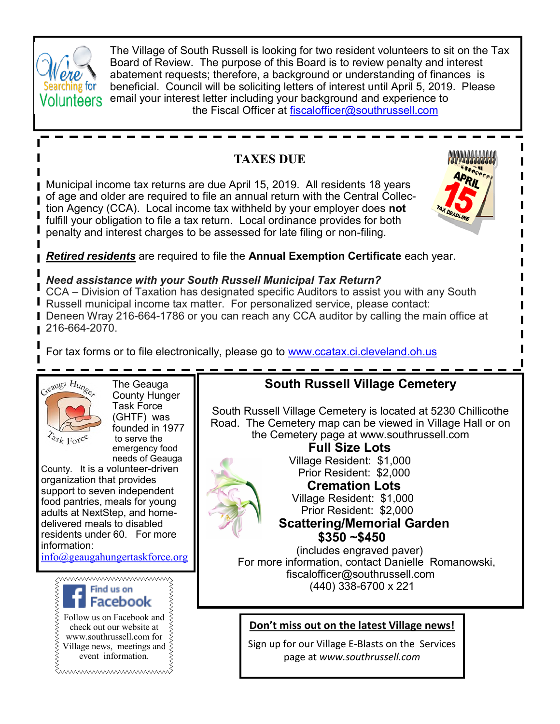

The Village of South Russell is looking for two resident volunteers to sit on the Tax Board of Review. The purpose of this Board is to review penalty and interest abatement requests; therefore, a background or understanding of finances is beneficial. Council will be soliciting letters of interest until April 5, 2019. Please email your interest letter including your background and experience to the Fiscal Officer at [fiscalofficer@southrussell.com](mailto:fiscalofficer@southrussell.com)

# **TAXES DUE**

Municipal income tax returns are due April 15, 2019. All residents 18 years of age and older are required to file an annual return with the Central Collection Agency (CCA). Local income tax withheld by your employer does **not** fulfill your obligation to file a tax return. Local ordinance provides for both penalty and interest charges to be assessed for late filing or non-filing.



*Retired residents* are required to file the **Annual Exemption Certificate** each year.

#### *Need assistance with your South Russell Municipal Tax Return?*

CCA – Division of Taxation has designated specific Auditors to assist you with any South Russell municipal income tax matter. For personalized service, please contact: Deneen Wray 216-664-1786 or you can reach any CCA auditor by calling the main office at 216-664-2070.

For tax forms or to file electronically, please go to [www.ccatax.ci.cleveland.oh.us](http://www.ccatax.ci.cleveland.oh.us)